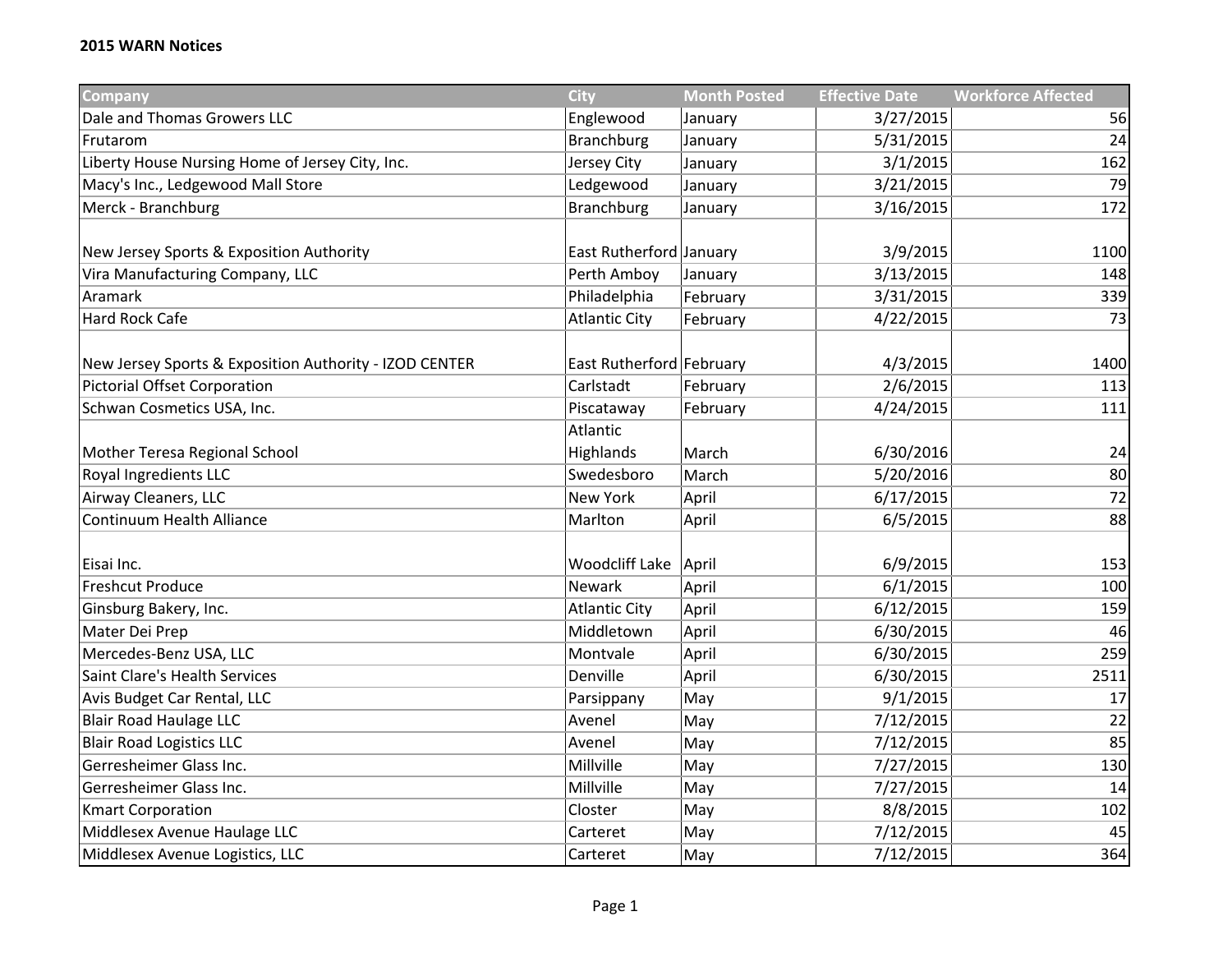| <b>Company</b>                                         | <b>City</b>              | <b>Month Posted</b> | <b>Effective Date</b> | <b>Workforce Affected</b> |
|--------------------------------------------------------|--------------------------|---------------------|-----------------------|---------------------------|
| Dale and Thomas Growers LLC                            | Englewood                | January             | 3/27/2015             | 56                        |
| Frutarom                                               | <b>Branchburg</b>        | January             | 5/31/2015             | 24                        |
| Liberty House Nursing Home of Jersey City, Inc.        | Jersey City              | January             | 3/1/2015              | 162                       |
| Macy's Inc., Ledgewood Mall Store                      | Ledgewood                | January             | 3/21/2015             | 79                        |
| Merck - Branchburg                                     | <b>Branchburg</b>        | January             | 3/16/2015             | 172                       |
|                                                        |                          |                     |                       |                           |
| New Jersey Sports & Exposition Authority               | East Rutherford January  |                     | 3/9/2015              | 1100                      |
| Vira Manufacturing Company, LLC                        | Perth Amboy              | January             | 3/13/2015             | 148                       |
| Aramark                                                | Philadelphia             | February            | 3/31/2015             | 339                       |
| Hard Rock Cafe                                         | <b>Atlantic City</b>     | February            | 4/22/2015             | 73                        |
|                                                        |                          |                     |                       |                           |
| New Jersey Sports & Exposition Authority - IZOD CENTER | East Rutherford February |                     | 4/3/2015              | 1400                      |
| Pictorial Offset Corporation                           | Carlstadt                | February            | 2/6/2015              | 113                       |
| Schwan Cosmetics USA, Inc.                             | Piscataway               | February            | 4/24/2015             | 111                       |
|                                                        | Atlantic                 |                     |                       |                           |
| Mother Teresa Regional School                          | Highlands                | March               | 6/30/2016             | 24                        |
| Royal Ingredients LLC                                  | Swedesboro               | March               | 5/20/2016             | 80                        |
| Airway Cleaners, LLC                                   | New York                 | April               | 6/17/2015             | 72                        |
| Continuum Health Alliance                              | Marlton                  | April               | 6/5/2015              | 88                        |
|                                                        |                          |                     |                       |                           |
| Eisai Inc.                                             | Woodcliff Lake           | April               | 6/9/2015              | 153                       |
| <b>Freshcut Produce</b>                                | Newark                   | April               | 6/1/2015              | 100                       |
| Ginsburg Bakery, Inc.                                  | <b>Atlantic City</b>     | April               | 6/12/2015             | 159                       |
| Mater Dei Prep                                         | Middletown               | April               | 6/30/2015             | 46                        |
| Mercedes-Benz USA, LLC                                 | Montvale                 | April               | 6/30/2015             | 259                       |
| Saint Clare's Health Services                          | Denville                 | April               | 6/30/2015             | 2511                      |
| Avis Budget Car Rental, LLC                            | Parsippany               | May                 | 9/1/2015              | 17                        |
| Blair Road Haulage LLC                                 | Avenel                   | May                 | 7/12/2015             | 22                        |
| <b>Blair Road Logistics LLC</b>                        | Avenel                   | May                 | 7/12/2015             | 85                        |
| Gerresheimer Glass Inc.                                | Millville                | May                 | 7/27/2015             | 130                       |
| Gerresheimer Glass Inc.                                | Millville                | May                 | 7/27/2015             | 14                        |
| <b>Kmart Corporation</b>                               | Closter                  | May                 | 8/8/2015              | 102                       |
| Middlesex Avenue Haulage LLC                           | Carteret                 | May                 | 7/12/2015             | 45                        |
| Middlesex Avenue Logistics, LLC                        | Carteret                 | May                 | 7/12/2015             | 364                       |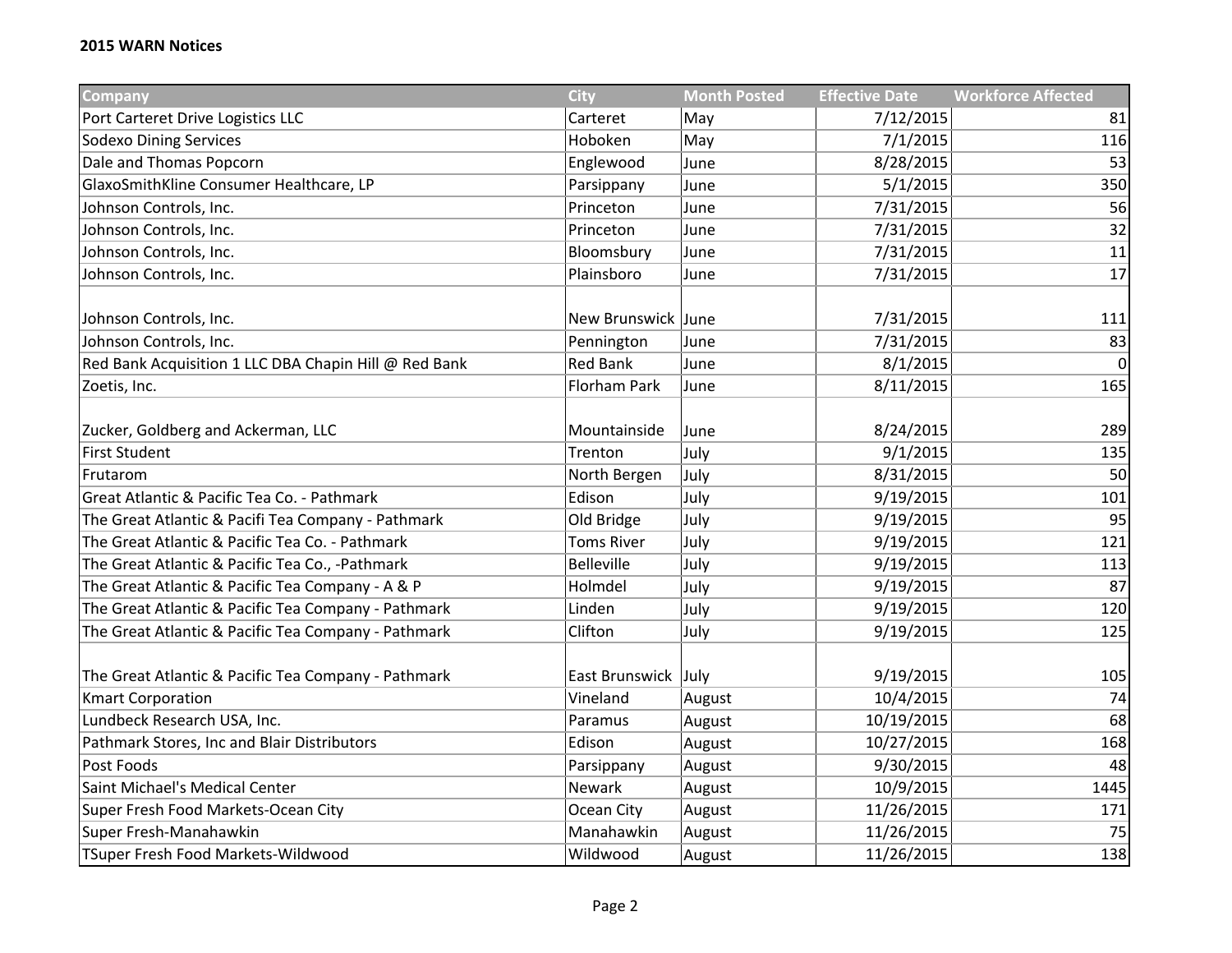| Company                                               | <b>City</b>         | <b>Month Posted</b> | <b>Effective Date</b> | <b>Workforce Affected</b> |
|-------------------------------------------------------|---------------------|---------------------|-----------------------|---------------------------|
| Port Carteret Drive Logistics LLC                     | Carteret            | May                 | 7/12/2015             | 81                        |
| <b>Sodexo Dining Services</b>                         | Hoboken             | May                 | 7/1/2015              | 116                       |
| Dale and Thomas Popcorn                               | Englewood           | June                | 8/28/2015             | 53                        |
| GlaxoSmithKline Consumer Healthcare, LP               | Parsippany          | June                | 5/1/2015              | 350                       |
| Johnson Controls, Inc.                                | Princeton           | June                | 7/31/2015             | 56                        |
| Johnson Controls, Inc.                                | Princeton           | June                | 7/31/2015             | 32                        |
| Johnson Controls, Inc.                                | Bloomsbury          | June                | 7/31/2015             | 11                        |
| Johnson Controls, Inc.                                | Plainsboro          | June                | 7/31/2015             | 17                        |
|                                                       |                     |                     |                       |                           |
| Johnson Controls, Inc.                                | New Brunswick June  |                     | 7/31/2015             | 111                       |
| Johnson Controls, Inc.                                | Pennington          | June                | 7/31/2015             | 83                        |
| Red Bank Acquisition 1 LLC DBA Chapin Hill @ Red Bank | <b>Red Bank</b>     | June                | 8/1/2015              | $\overline{0}$            |
| Zoetis, Inc.                                          | Florham Park        | June                | 8/11/2015             | 165                       |
|                                                       |                     |                     |                       |                           |
| Zucker, Goldberg and Ackerman, LLC                    | Mountainside        | June                | 8/24/2015             | 289                       |
| <b>First Student</b>                                  | Trenton             | July                | 9/1/2015              | 135                       |
| Frutarom                                              | North Bergen        | July                | 8/31/2015             | 50                        |
| Great Atlantic & Pacific Tea Co. - Pathmark           | Edison              | July                | 9/19/2015             | 101                       |
| The Great Atlantic & Pacifi Tea Company - Pathmark    | Old Bridge          | July                | 9/19/2015             | 95                        |
| The Great Atlantic & Pacific Tea Co. - Pathmark       | <b>Toms River</b>   | July                | 9/19/2015             | 121                       |
| The Great Atlantic & Pacific Tea Co., -Pathmark       | <b>Belleville</b>   | July                | 9/19/2015             | 113                       |
| The Great Atlantic & Pacific Tea Company - A & P      | Holmdel             | July                | 9/19/2015             | 87                        |
| The Great Atlantic & Pacific Tea Company - Pathmark   | Linden              | July                | 9/19/2015             | 120                       |
| The Great Atlantic & Pacific Tea Company - Pathmark   | Clifton             | July                | 9/19/2015             | 125                       |
|                                                       |                     |                     |                       |                           |
| The Great Atlantic & Pacific Tea Company - Pathmark   | East Brunswick July |                     | 9/19/2015             | 105                       |
| <b>Kmart Corporation</b>                              | Vineland            | August              | 10/4/2015             | 74                        |
| Lundbeck Research USA, Inc.                           | Paramus             | August              | 10/19/2015            | 68                        |
| Pathmark Stores, Inc and Blair Distributors           | Edison              | August              | 10/27/2015            | 168                       |
| Post Foods                                            | Parsippany          | August              | 9/30/2015             | 48                        |
| Saint Michael's Medical Center                        | Newark              | August              | 10/9/2015             | 1445                      |
| Super Fresh Food Markets-Ocean City                   | Ocean City          | August              | 11/26/2015            | 171                       |
| Super Fresh-Manahawkin                                | Manahawkin          | August              | 11/26/2015            | 75                        |
| TSuper Fresh Food Markets-Wildwood                    | Wildwood            | August              | 11/26/2015            | 138                       |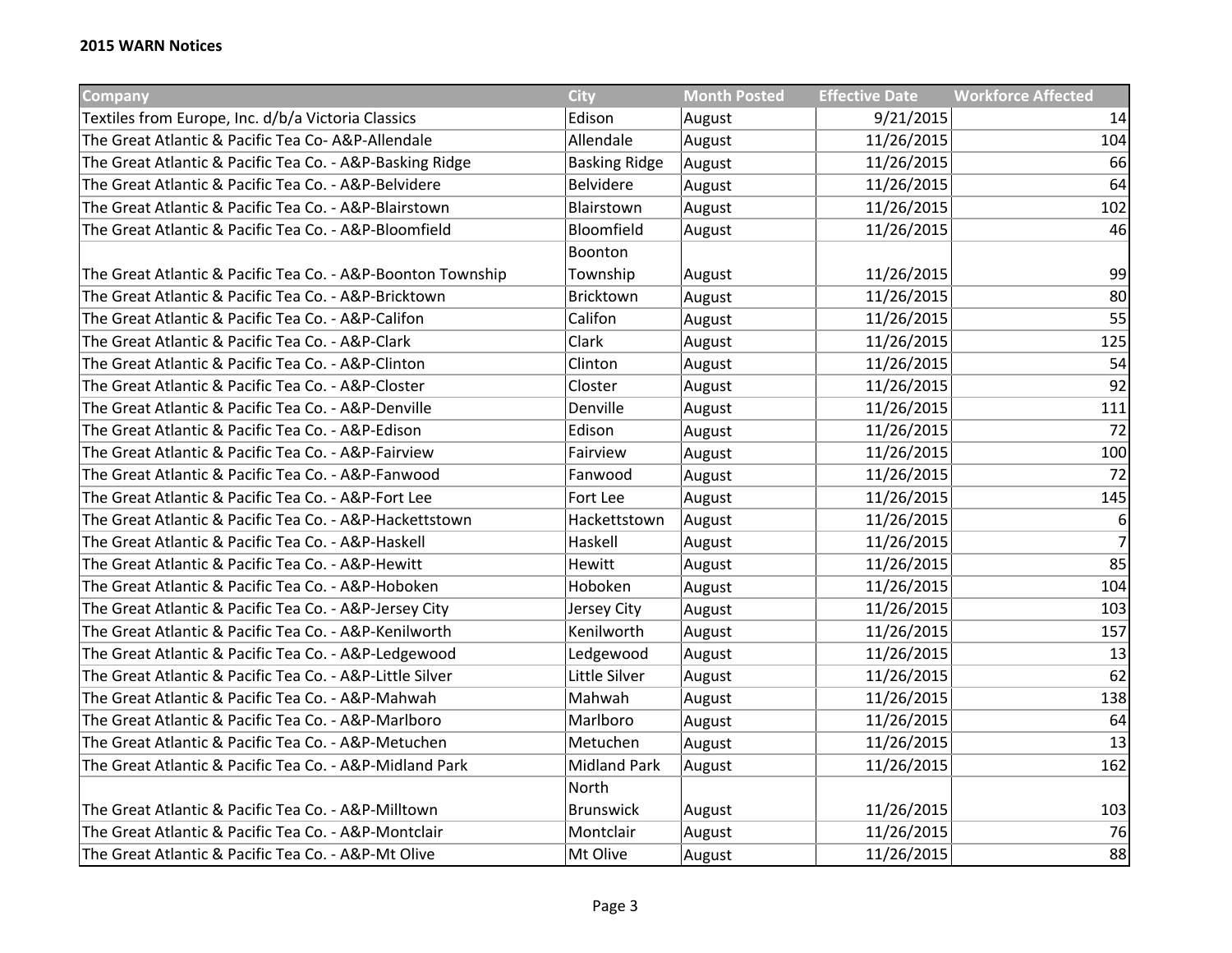| Company                                                     | <b>City</b>          | <b>Month Posted</b> | <b>Effective Date</b> | <b>Workforce Affected</b> |
|-------------------------------------------------------------|----------------------|---------------------|-----------------------|---------------------------|
| Textiles from Europe, Inc. d/b/a Victoria Classics          | Edison               | August              | 9/21/2015             | 14                        |
| The Great Atlantic & Pacific Tea Co-A&P-Allendale           | Allendale            | August              | 11/26/2015            | 104                       |
| The Great Atlantic & Pacific Tea Co. - A&P-Basking Ridge    | <b>Basking Ridge</b> | August              | 11/26/2015            | 66                        |
| The Great Atlantic & Pacific Tea Co. - A&P-Belvidere        | <b>Belvidere</b>     | August              | 11/26/2015            | 64                        |
| The Great Atlantic & Pacific Tea Co. - A&P-Blairstown       | Blairstown           | August              | 11/26/2015            | 102                       |
| The Great Atlantic & Pacific Tea Co. - A&P-Bloomfield       | Bloomfield           | August              | 11/26/2015            | 46                        |
|                                                             | Boonton              |                     |                       |                           |
| The Great Atlantic & Pacific Tea Co. - A&P-Boonton Township | Township             | August              | 11/26/2015            | 99                        |
| The Great Atlantic & Pacific Tea Co. - A&P-Bricktown        | Bricktown            | August              | 11/26/2015            | 80                        |
| The Great Atlantic & Pacific Tea Co. - A&P-Califon          | Califon              | August              | 11/26/2015            | 55                        |
| The Great Atlantic & Pacific Tea Co. - A&P-Clark            | Clark                | August              | 11/26/2015            | 125                       |
| The Great Atlantic & Pacific Tea Co. - A&P-Clinton          | Clinton              | August              | 11/26/2015            | 54                        |
| The Great Atlantic & Pacific Tea Co. - A&P-Closter          | Closter              | August              | 11/26/2015            | 92                        |
| The Great Atlantic & Pacific Tea Co. - A&P-Denville         | Denville             | August              | 11/26/2015            | 111                       |
| The Great Atlantic & Pacific Tea Co. - A&P-Edison           | Edison               | August              | 11/26/2015            | 72                        |
| The Great Atlantic & Pacific Tea Co. - A&P-Fairview         | Fairview             | August              | 11/26/2015            | 100                       |
| The Great Atlantic & Pacific Tea Co. - A&P-Fanwood          | Fanwood              | August              | 11/26/2015            | 72                        |
| The Great Atlantic & Pacific Tea Co. - A&P-Fort Lee         | Fort Lee             | August              | 11/26/2015            | 145                       |
| The Great Atlantic & Pacific Tea Co. - A&P-Hackettstown     | Hackettstown         | August              | 11/26/2015            | $\boldsymbol{6}$          |
| The Great Atlantic & Pacific Tea Co. - A&P-Haskell          | Haskell              | August              | 11/26/2015            | $\overline{7}$            |
| The Great Atlantic & Pacific Tea Co. - A&P-Hewitt           | Hewitt               | August              | 11/26/2015            | 85                        |
| The Great Atlantic & Pacific Tea Co. - A&P-Hoboken          | Hoboken              | August              | 11/26/2015            | 104                       |
| The Great Atlantic & Pacific Tea Co. - A&P-Jersey City      | Jersey City          | August              | 11/26/2015            | 103                       |
| The Great Atlantic & Pacific Tea Co. - A&P-Kenilworth       | Kenilworth           | August              | 11/26/2015            | 157                       |
| The Great Atlantic & Pacific Tea Co. - A&P-Ledgewood        | Ledgewood            | August              | 11/26/2015            | 13                        |
| The Great Atlantic & Pacific Tea Co. - A&P-Little Silver    | Little Silver        | August              | 11/26/2015            | 62                        |
| The Great Atlantic & Pacific Tea Co. - A&P-Mahwah           | Mahwah               | August              | 11/26/2015            | 138                       |
| The Great Atlantic & Pacific Tea Co. - A&P-Marlboro         | Marlboro             | August              | 11/26/2015            | 64                        |
| The Great Atlantic & Pacific Tea Co. - A&P-Metuchen         | Metuchen             | August              | 11/26/2015            | 13                        |
| The Great Atlantic & Pacific Tea Co. - A&P-Midland Park     | <b>Midland Park</b>  | August              | 11/26/2015            | 162                       |
|                                                             | North                |                     |                       |                           |
| The Great Atlantic & Pacific Tea Co. - A&P-Milltown         | <b>Brunswick</b>     | August              | 11/26/2015            | 103                       |
| The Great Atlantic & Pacific Tea Co. - A&P-Montclair        | Montclair            | August              | 11/26/2015            | 76                        |
| The Great Atlantic & Pacific Tea Co. - A&P-Mt Olive         | Mt Olive             | August              | 11/26/2015            | 88                        |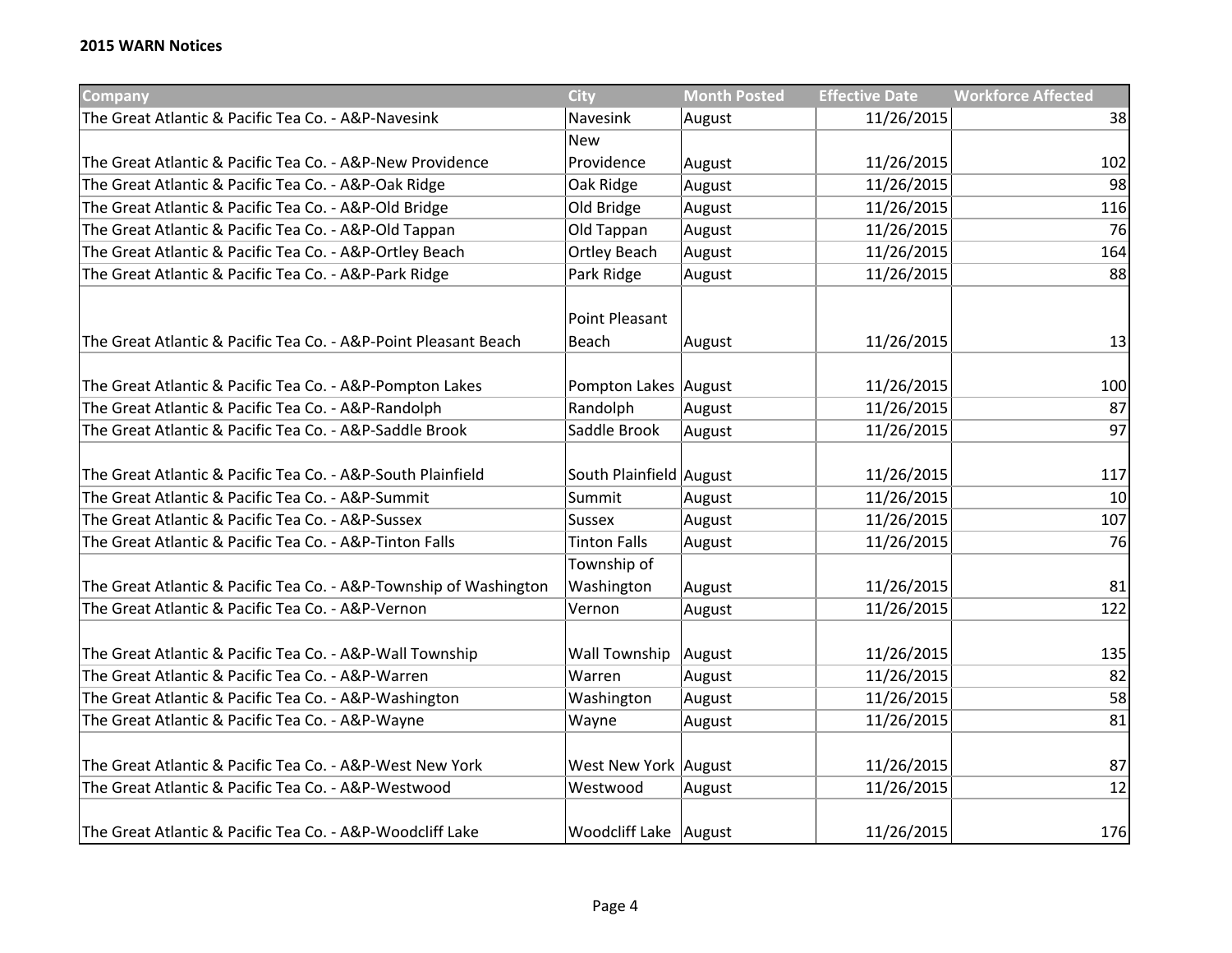| <b>Company</b>                                                    | <b>City</b>                    | <b>Month Posted</b> | <b>Effective Date</b> | <b>Workforce Affected</b> |
|-------------------------------------------------------------------|--------------------------------|---------------------|-----------------------|---------------------------|
| The Great Atlantic & Pacific Tea Co. - A&P-Navesink               | Navesink                       | August              | 11/26/2015            | 38                        |
|                                                                   | <b>New</b>                     |                     |                       |                           |
| The Great Atlantic & Pacific Tea Co. - A&P-New Providence         | Providence                     | August              | 11/26/2015            | 102                       |
| The Great Atlantic & Pacific Tea Co. - A&P-Oak Ridge              | Oak Ridge                      | August              | 11/26/2015            | 98                        |
| The Great Atlantic & Pacific Tea Co. - A&P-Old Bridge             | Old Bridge                     | August              | 11/26/2015            | 116                       |
| The Great Atlantic & Pacific Tea Co. - A&P-Old Tappan             | Old Tappan                     | August              | 11/26/2015            | 76                        |
| The Great Atlantic & Pacific Tea Co. - A&P-Ortley Beach           | <b>Ortley Beach</b>            | August              | 11/26/2015            | 164                       |
| The Great Atlantic & Pacific Tea Co. - A&P-Park Ridge             | Park Ridge                     | August              | 11/26/2015            | 88                        |
| The Great Atlantic & Pacific Tea Co. - A&P-Point Pleasant Beach   | <b>Point Pleasant</b><br>Beach | August              | 11/26/2015            | 13                        |
| The Great Atlantic & Pacific Tea Co. - A&P-Pompton Lakes          | Pompton Lakes August           |                     | 11/26/2015            | 100                       |
| The Great Atlantic & Pacific Tea Co. - A&P-Randolph               | Randolph                       | August              | 11/26/2015            | 87                        |
| The Great Atlantic & Pacific Tea Co. - A&P-Saddle Brook           | Saddle Brook                   | August              | 11/26/2015            | 97                        |
| The Great Atlantic & Pacific Tea Co. - A&P-South Plainfield       | South Plainfield August        |                     | 11/26/2015            | 117                       |
| The Great Atlantic & Pacific Tea Co. - A&P-Summit                 | Summit                         | August              | 11/26/2015            | 10                        |
| The Great Atlantic & Pacific Tea Co. - A&P-Sussex                 | Sussex                         | August              | 11/26/2015            | 107                       |
| The Great Atlantic & Pacific Tea Co. - A&P-Tinton Falls           | <b>Tinton Falls</b>            | August              | 11/26/2015            | 76                        |
| The Great Atlantic & Pacific Tea Co. - A&P-Township of Washington | Township of<br>Washington      | August              | 11/26/2015            | 81                        |
| The Great Atlantic & Pacific Tea Co. - A&P-Vernon                 | Vernon                         | August              | 11/26/2015            | 122                       |
| The Great Atlantic & Pacific Tea Co. - A&P-Wall Township          | <b>Wall Township</b>           | August              | 11/26/2015            | 135                       |
| The Great Atlantic & Pacific Tea Co. - A&P-Warren                 | Warren                         | August              | 11/26/2015            | 82                        |
| The Great Atlantic & Pacific Tea Co. - A&P-Washington             | Washington                     | August              | 11/26/2015            | 58                        |
| The Great Atlantic & Pacific Tea Co. - A&P-Wayne                  | Wayne                          | August              | 11/26/2015            | 81                        |
| The Great Atlantic & Pacific Tea Co. - A&P-West New York          | West New York August           |                     | 11/26/2015            | 87                        |
| The Great Atlantic & Pacific Tea Co. - A&P-Westwood               | Westwood                       | August              | 11/26/2015            | 12                        |
| The Great Atlantic & Pacific Tea Co. - A&P-Woodcliff Lake         | Woodcliff Lake   August        |                     | 11/26/2015            | 176                       |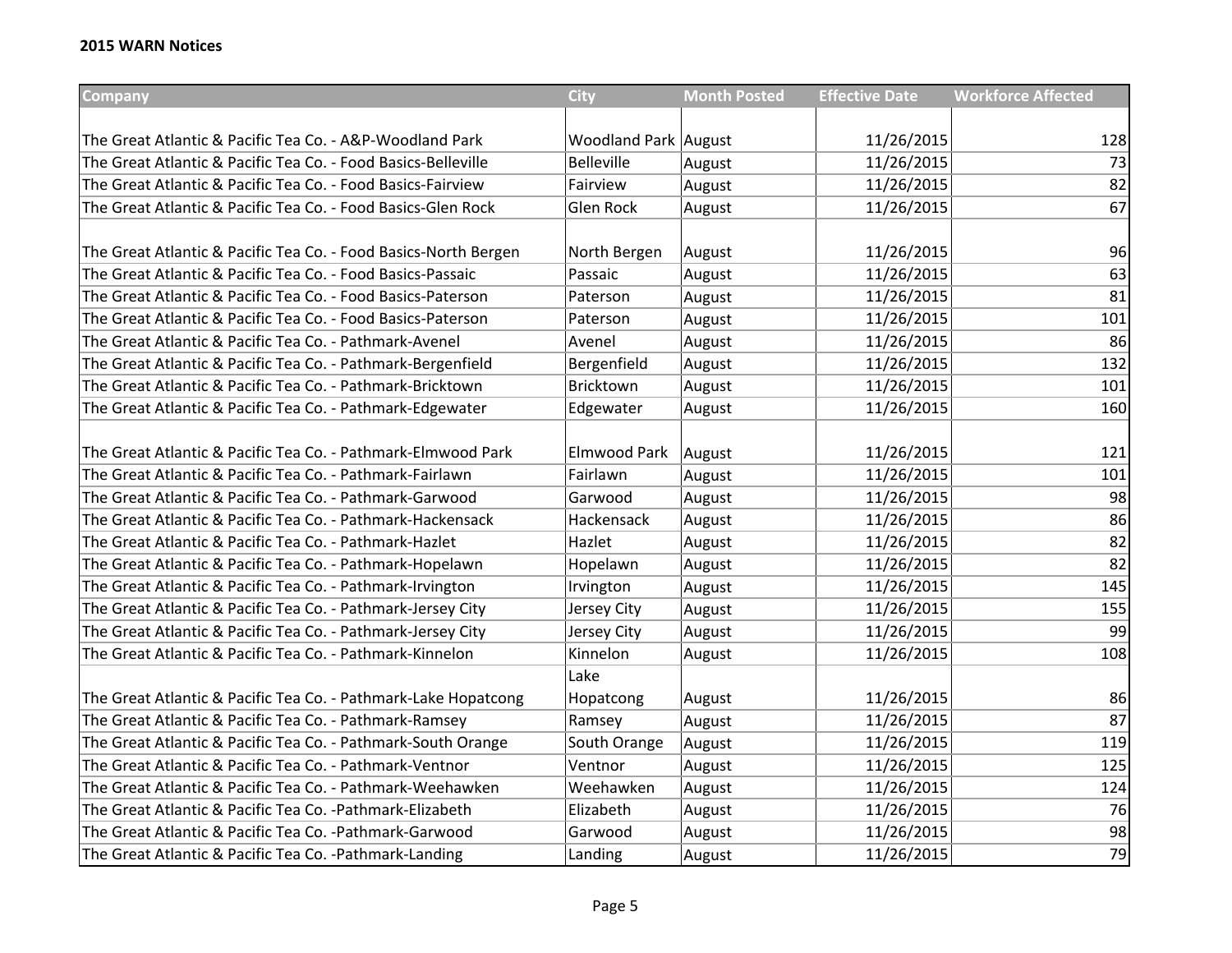| <b>Company</b>                                                  | <b>City</b>                 | <b>Month Posted</b> | <b>Effective Date</b> | <b>Workforce Affected</b> |
|-----------------------------------------------------------------|-----------------------------|---------------------|-----------------------|---------------------------|
|                                                                 |                             |                     |                       |                           |
| The Great Atlantic & Pacific Tea Co. - A&P-Woodland Park        | <b>Woodland Park August</b> |                     | 11/26/2015            | 128                       |
| The Great Atlantic & Pacific Tea Co. - Food Basics-Belleville   | <b>Belleville</b>           | August              | 11/26/2015            | 73                        |
| The Great Atlantic & Pacific Tea Co. - Food Basics-Fairview     | Fairview                    | August              | 11/26/2015            | 82                        |
| The Great Atlantic & Pacific Tea Co. - Food Basics-Glen Rock    | Glen Rock                   | August              | 11/26/2015            | 67                        |
|                                                                 |                             |                     |                       |                           |
| The Great Atlantic & Pacific Tea Co. - Food Basics-North Bergen | North Bergen                | August              | 11/26/2015            | 96                        |
| The Great Atlantic & Pacific Tea Co. - Food Basics-Passaic      | Passaic                     | August              | 11/26/2015            | 63                        |
| The Great Atlantic & Pacific Tea Co. - Food Basics-Paterson     | Paterson                    | August              | 11/26/2015            | 81                        |
| The Great Atlantic & Pacific Tea Co. - Food Basics-Paterson     | Paterson                    | August              | 11/26/2015            | 101                       |
| The Great Atlantic & Pacific Tea Co. - Pathmark-Avenel          | Avenel                      | August              | 11/26/2015            | 86                        |
| The Great Atlantic & Pacific Tea Co. - Pathmark-Bergenfield     | Bergenfield                 | August              | 11/26/2015            | 132                       |
| The Great Atlantic & Pacific Tea Co. - Pathmark-Bricktown       | Bricktown                   | August              | 11/26/2015            | 101                       |
| The Great Atlantic & Pacific Tea Co. - Pathmark-Edgewater       | Edgewater                   | August              | 11/26/2015            | 160                       |
|                                                                 |                             |                     |                       |                           |
| The Great Atlantic & Pacific Tea Co. - Pathmark-Elmwood Park    | Elmwood Park                | August              | 11/26/2015            | 121                       |
| The Great Atlantic & Pacific Tea Co. - Pathmark-Fairlawn        | Fairlawn                    | August              | 11/26/2015            | 101                       |
| The Great Atlantic & Pacific Tea Co. - Pathmark-Garwood         | Garwood                     | August              | 11/26/2015            | 98                        |
| The Great Atlantic & Pacific Tea Co. - Pathmark-Hackensack      | Hackensack                  | August              | 11/26/2015            | 86                        |
| The Great Atlantic & Pacific Tea Co. - Pathmark-Hazlet          | Hazlet                      | August              | 11/26/2015            | 82                        |
| The Great Atlantic & Pacific Tea Co. - Pathmark-Hopelawn        | Hopelawn                    | August              | 11/26/2015            | 82                        |
| The Great Atlantic & Pacific Tea Co. - Pathmark-Irvington       | Irvington                   | August              | 11/26/2015            | 145                       |
| The Great Atlantic & Pacific Tea Co. - Pathmark-Jersey City     | Jersey City                 | August              | 11/26/2015            | 155                       |
| The Great Atlantic & Pacific Tea Co. - Pathmark-Jersey City     | Jersey City                 | August              | 11/26/2015            | 99                        |
| The Great Atlantic & Pacific Tea Co. - Pathmark-Kinnelon        | Kinnelon                    | August              | 11/26/2015            | 108                       |
|                                                                 | Lake                        |                     |                       |                           |
| The Great Atlantic & Pacific Tea Co. - Pathmark-Lake Hopatcong  | Hopatcong                   | August              | 11/26/2015            | 86                        |
| The Great Atlantic & Pacific Tea Co. - Pathmark-Ramsey          | Ramsey                      | August              | 11/26/2015            | 87                        |
| The Great Atlantic & Pacific Tea Co. - Pathmark-South Orange    | South Orange                | August              | 11/26/2015            | 119                       |
| The Great Atlantic & Pacific Tea Co. - Pathmark-Ventnor         | Ventnor                     | August              | 11/26/2015            | 125                       |
| The Great Atlantic & Pacific Tea Co. - Pathmark-Weehawken       | Weehawken                   | August              | 11/26/2015            | 124                       |
| The Great Atlantic & Pacific Tea Co. - Pathmark-Elizabeth       | Elizabeth                   | August              | 11/26/2015            | 76                        |
| The Great Atlantic & Pacific Tea Co. - Pathmark-Garwood         | Garwood                     | August              | 11/26/2015            | 98                        |
| The Great Atlantic & Pacific Tea Co. - Pathmark-Landing         | Landing                     | August              | 11/26/2015            | 79                        |